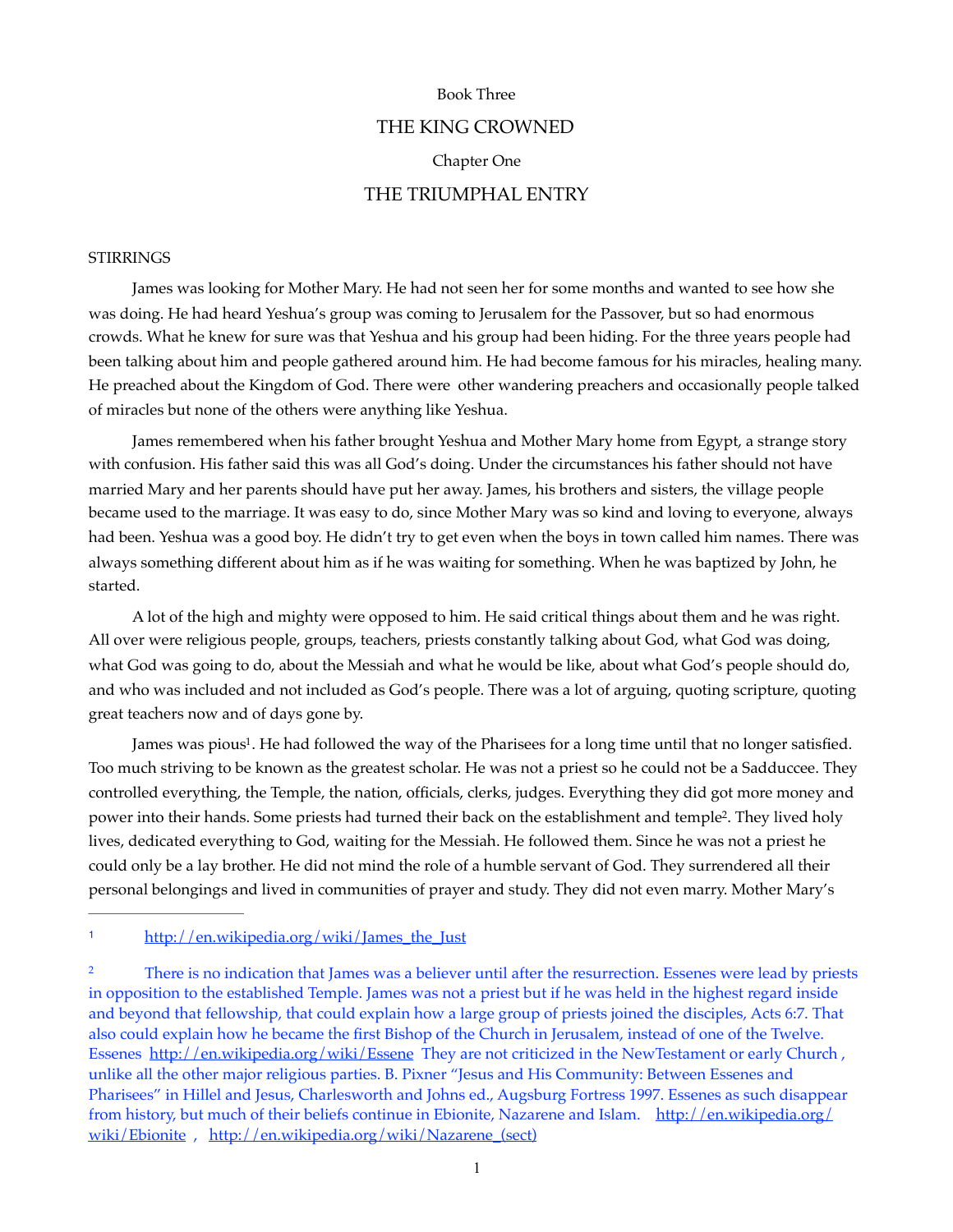#### Book Three

# THE KING CROWNED Chapter One THE TRIUMPHAL ENTRY

## **STIRRINGS**

James was looking for Mother Mary. He had not seen her for some months and wanted to see how she was doing. He had heard Yeshua's group was coming to Jerusalem for the Passover, but so had enormous crowds. What he knew for sure was that Yeshua and his group had been hiding. For the three years people had been talking about him and people gathered around him. He had become famous for his miracles, healing many. He preached about the Kingdom of God. There were other wandering preachers and occasionally people talked of miracles but none of the others were anything like Yeshua.

James remembered when his father brought Yeshua and Mother Mary home from Egypt, a strange story with confusion. His father said this was all God's doing. Under the circumstances his father should not have married Mary and her parents should have put her away. James, his brothers and sisters, the village people became used to the marriage. It was easy to do, since Mother Mary was so kind and loving to everyone, always had been. Yeshua was a good boy. He didn't try to get even when the boys in town called him names. There was always something different about him as if he was waiting for something. When he was baptized by John, he started.

A lot of the high and mighty were opposed to him. He said critical things about them and he was right. All over were religious people, groups, teachers, priests constantly talking about God, what God was doing, what God was going to do, about the Messiah and what he would be like, about what God's people should do, and who was included and not included as God's people. There was a lot of arguing, quoting scripture, quoting great teachers now and of days gone by.

<span id="page-0-3"></span><span id="page-0-2"></span>James was pious<sup>[1](#page-0-0)</sup>. He had followed the way of the Pharisees for a long time until that no longer satisfied. Too much striving to be known as the greatest scholar. He was not a priest so he could not be a Sadduccee. They controlled everything, the Temple, the nation, officials, clerks, judges. Everything they did got more money and power into their hands. Some priests had turned their back on the establishment and temple<sup>[2](#page-0-1)</sup>. They lived holy lives, dedicated everything to God, waiting for the Messiah. He followed them. Since he was not a priest he could only be a lay brother. He did not mind the role of a humble servant of God. They surrendered all their personal belongings and lived in communities of prayer and study. They did not even marry. Mother Mary's

<span id="page-0-0"></span>[1](#page-0-2) http://en.wikipedia.org/wiki/James\_the\_Just

<span id="page-0-1"></span><sup>[2](#page-0-3)</sup> There is no indication that James was a believer until after the resurrection. Essenes were lead by priests in opposition to the established Temple. James was not a priest but if he was held in the highest regard inside and beyond that fellowship, that could explain how a large group of priests joined the disciples, Acts 6:7. That also could explain how he became the first Bishop of the Church in Jerusalem, instead of one of the Twelve. Essenes <http://en.wikipedia.org/wiki/Essene>They are not criticized in the NewTestament or early Church, unlike all the other major religious parties. B. Pixner "Jesus and His Community: Between Essenes and Pharisees" in Hillel and Jesus, Charlesworth and Johns ed., Augsburg Fortress 1997. Essenes as such disappear from history, but much of their beliefs continue in Ebionite, Nazarene and Islam. [http://en.wikipedia.org/](http://en.wikipedia.org/wiki/Ebionite) [wiki/Ebionite](http://en.wikipedia.org/wiki/Ebionite) , [http://en.wikipedia.org/wiki/Nazarene\\_\(sect\)](http://en.wikipedia.org/wiki/Nazarene_(sect))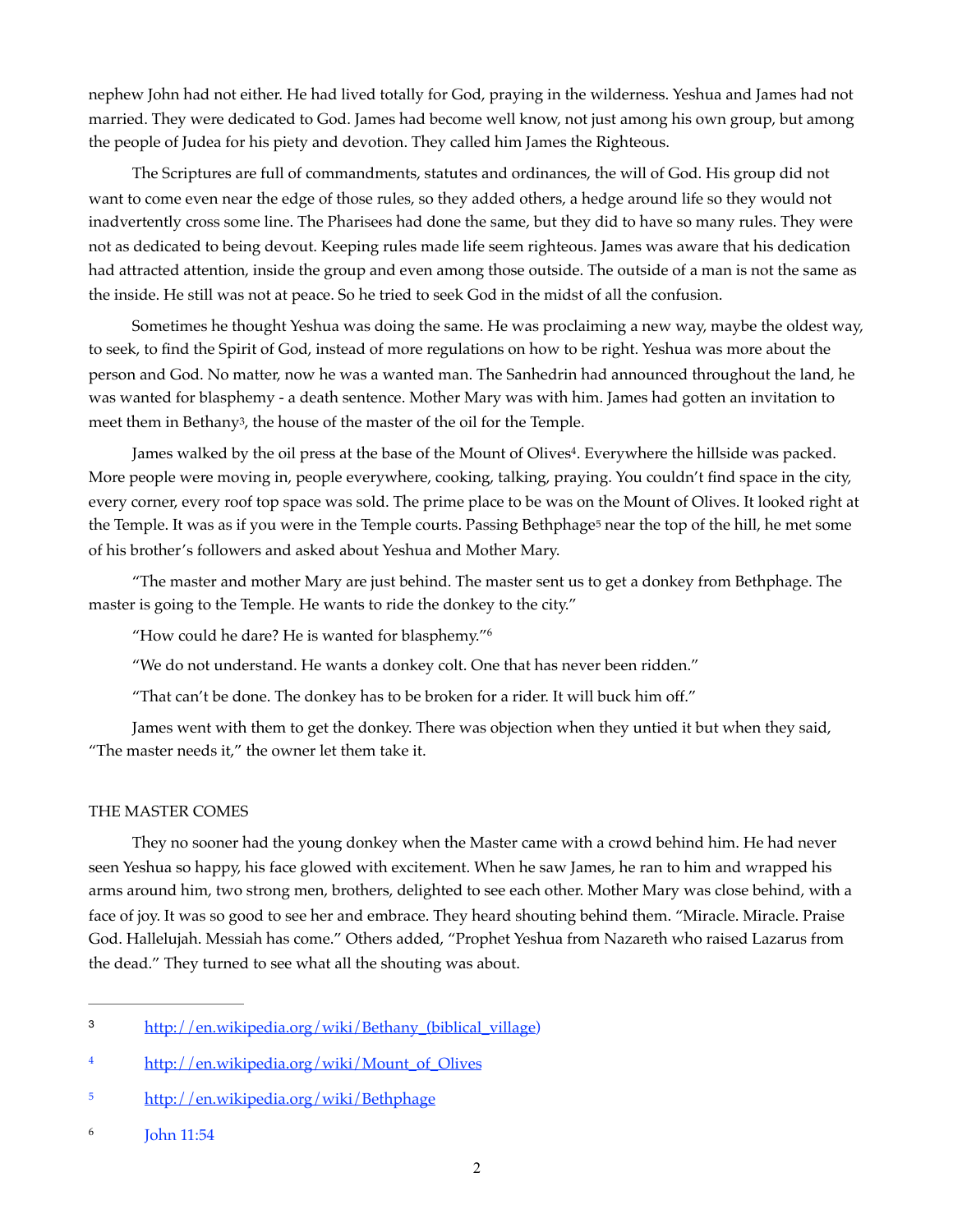nephew John had not either. He had lived totally for God, praying in the wilderness. Yeshua and James had not married. They were dedicated to God. James had become well know, not just among his own group, but among the people of Judea for his piety and devotion. They called him James the Righteous.

The Scriptures are full of commandments, statutes and ordinances, the will of God. His group did not want to come even near the edge of those rules, so they added others, a hedge around life so they would not inadvertently cross some line. The Pharisees had done the same, but they did to have so many rules. They were not as dedicated to being devout. Keeping rules made life seem righteous. James was aware that his dedication had attracted attention, inside the group and even among those outside. The outside of a man is not the same as the inside. He still was not at peace. So he tried to seek God in the midst of all the confusion.

Sometimes he thought Yeshua was doing the same. He was proclaiming a new way, maybe the oldest way, to seek, to find the Spirit of God, instead of more regulations on how to be right. Yeshua was more about the person and God. No matter, now he was a wanted man. The Sanhedrin had announced throughout the land, he was wanted for blasphemy - a death sentence. Mother Mary was with him. James had gotten an invitation to meet them in Bethany<sup>[3](#page-1-0)</sup>, the house of the master of the oil for the Temple.

<span id="page-1-4"></span>James walked by the oil press at the base of the Mount of Olives<sup>[4](#page-1-1)</sup>. Everywhere the hillside was packed. More people were moving in, people everywhere, cooking, talking, praying. You couldn't find space in the city, every corner, every roof top space was sold. The prime place to be was on the Mount of Olives. It looked right at the Temple. It was as if you were in the Temple courts. Passing Bethphage<sup>[5](#page-1-2)</sup> near the top of the hill, he met some of his brother's followers and asked about Yeshua and Mother Mary.

"The master and mother Mary are just behind. The master sent us to get a donkey from Bethphage. The master is going to the Temple. He wants to ride the donkey to the city."

<span id="page-1-7"></span><span id="page-1-6"></span><span id="page-1-5"></span>"How could he dare? He is wanted for blasphemy.["6](#page-1-3)

"We do not understand. He wants a donkey colt. One that has never been ridden."

"That can't be done. The donkey has to be broken for a rider. It will buck him off."

James went with them to get the donkey. There was objection when they untied it but when they said, "The master needs it," the owner let them take it.

#### THE MASTER COMES

They no sooner had the young donkey when the Master came with a crowd behind him. He had never seen Yeshua so happy, his face glowed with excitement. When he saw James, he ran to him and wrapped his arms around him, two strong men, brothers, delighted to see each other. Mother Mary was close behind, with a face of joy. It was so good to see her and embrace. They heard shouting behind them. "Miracle. Miracle. Praise God. Hallelujah. Messiah has come." Others added, "Prophet Yeshua from Nazareth who raised Lazarus from the dead." They turned to see what all the shouting was about.

<span id="page-1-0"></span>[http://en.wikipedia.org/wiki/Bethany\\_\(biblical\\_village](http://en.wikipedia.org/wiki/Bethany_(biblical_village)) [3](#page-1-4)

<span id="page-1-1"></span><sup>&</sup>lt;sup>[4](#page-1-5)</sup> http://en.wikipedia.org/wiki/Mount\_of\_Olives

<span id="page-1-2"></span>[<sup>5</sup>](#page-1-6) http://en.wikipedia.org/wiki/Bethphage

<span id="page-1-3"></span><sup>&</sup>lt;sup>[6](#page-1-7)</sup> Iohn 11:54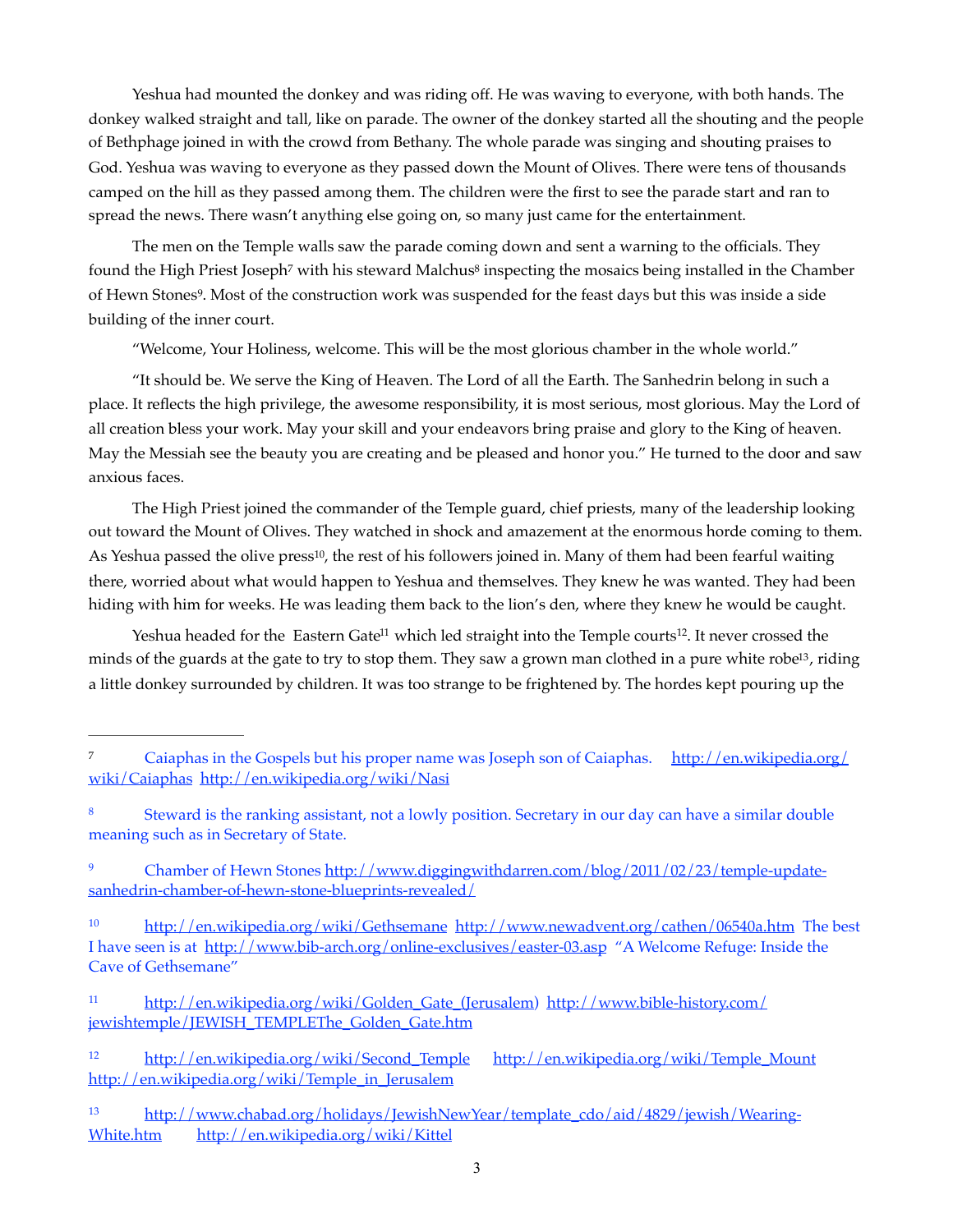Yeshua had mounted the donkey and was riding off. He was waving to everyone, with both hands. The donkey walked straight and tall, like on parade. The owner of the donkey started all the shouting and the people of Bethphage joined in with the crowd from Bethany. The whole parade was singing and shouting praises to God. Yeshua was waving to everyone as they passed down the Mount of Olives. There were tens of thousands camped on the hill as they passed among them. The children were the first to see the parade start and ran to spread the news. There wasn't anything else going on, so many just came for the entertainment.

The men on the Temple walls saw the parade coming down and sent a warning to the officials. They found t[h](#page-2-0)e High Prie[s](#page-2-1)t Joseph<sup>[7](#page-2-0)</sup> with his steward Malchus<sup>8</sup> inspecting the mosaics being installed in the Chamber of Hewn Stones<sup>[9](#page-2-2)</sup>. Most of the construction work was suspended for the feast days but this was inside a side building of the inner court.

<span id="page-2-9"></span><span id="page-2-8"></span><span id="page-2-7"></span>"Welcome, Your Holiness, welcome. This will be the most glorious chamber in the whole world."

"It should be. We serve the King of Heaven. The Lord of all the Earth. The Sanhedrin belong in such a place. It reflects the high privilege, the awesome responsibility, it is most serious, most glorious. May the Lord of all creation bless your work. May your skill and your endeavors bring praise and glory to the King of heaven. May the Messiah see the beauty you are creating and be pleased and honor you." He turned to the door and saw anxious faces.

<span id="page-2-10"></span>The High Priest joined the commander of the Temple guard, chief priests, many of the leadership looking out toward the Mount of Olives. They watched in shock and amazement at the enormous horde coming to them. As Yeshua passed the olive press<sup>[10](#page-2-3)</sup>, the rest of his followers joined in. Many of them had been fearful waiting there, worried about what would happen to Yeshua and themselves. They knew he was wanted. They had been hiding with him for weeks. He was leading them back to the lion's den, where they knew he would be caught.

<span id="page-2-13"></span><span id="page-2-12"></span><span id="page-2-11"></span>Yeshua headed for the Eastern Gate<sup>[11](#page-2-4)</sup> which led straight into the Temple courts<sup>12</sup>. It never crossed the minds of the guards at the gate to try to stop them. They saw a grown man clothed in a pure white robe<sup>[13](#page-2-6)</sup>, riding a little donkey surrounded by children. It was too strange to be frightened by. The hordes kept pouring up the

- <span id="page-2-4"></span>[11](#page-2-11) [http://en.wikipedia.org/wiki/Golden\\_Gate\\_\(Jerusalem](http://en.wikipedia.org/wiki/Golden_Gate_(Jerusalem)) [http://www.bible-history.com/](http://www.bible-history.com/jewishtemple/JEWISH_TEMPLEThe_Golden_Gate.htm) [jewishtemple/JEWISH\\_TEMPLEThe\\_Golden\\_Gate.htm](http://www.bible-history.com/jewishtemple/JEWISH_TEMPLEThe_Golden_Gate.htm)
- <span id="page-2-5"></span>[http://en.wikipedia.org/wiki/Second\\_Temple](http://en.wikipedia.org/wiki/Second_Temple) [http://en.wikipedia.org/wiki/Temple\\_Mount](http://en.wikipedia.org/wiki/Temple_Mount) [12](#page-2-12) [http://en.wikipedia.org/wiki/Temple\\_in\\_Jerusalem](http://en.wikipedia.org/wiki/Temple_in_Jerusalem)

<span id="page-2-0"></span>[<sup>7</sup>](#page-2-7) Caiaphas in the Gospels but his proper name was Joseph son of Caiaphas. [http://en.wikipedia.org/](http://en.wikipedia.org/wiki/Caiaphas) [wiki/Caiaphas](http://en.wikipedia.org/wiki/Caiaphas) <http://en.wikipedia.org/wiki/Nasi>

<span id="page-2-1"></span>Steward is the ranking assistant, not a lowly position. Secretary in our day can have a similar double [8](#page-2-8) meaning such as in Secretary of State.

<span id="page-2-2"></span><sup>&</sup>lt;sup>9</sup> [Chamber of Hewn Stones http://www.diggingwithdarren.com/blog/2011/02/23/temple-update](http://www.diggingwithdarren.com/blog/2011/02/23/temple-update-sanhedrin-chamber-of-hewn-stone-blueprints-revealed/) [sanhedrin-chamber-of-hewn-stone-blueprints-revealed/](http://www.diggingwithdarren.com/blog/2011/02/23/temple-update-sanhedrin-chamber-of-hewn-stone-blueprints-revealed/)

<span id="page-2-3"></span><sup>&</sup>lt;sup>10</sup> <http://en.wikipedia.org/wiki/Gethsemane> <http://www.newadvent.org/cathen/06540a.htm>The best I have seen is at <http://www.bib-arch.org/online-exclusives/easter-03.asp> "A Welcome Refuge: Inside the Cave of Gethsemane"

<span id="page-2-6"></span><sup>13</sup> [http://www.chabad.org/holidays/JewishNewYear/template\\_cdo/aid/4829/jewish/Wearing-](http://www.chabad.org/holidays/JewishNewYear/template_cdo/aid/4829/jewish/Wearing-White.htm) [White.htm](http://www.chabad.org/holidays/JewishNewYear/template_cdo/aid/4829/jewish/Wearing-White.htm) <http://en.wikipedia.org/wiki/Kittel>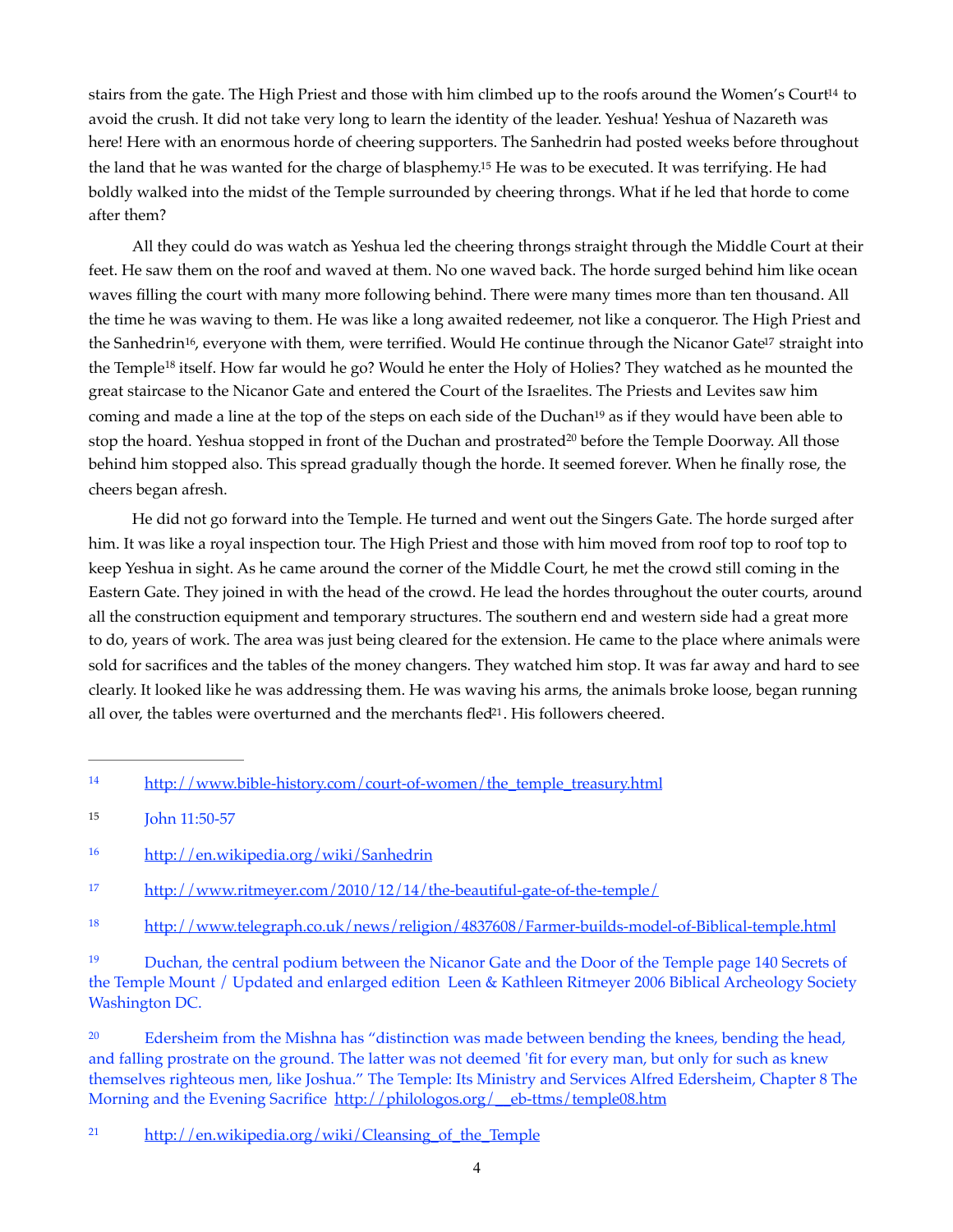<span id="page-3-9"></span><span id="page-3-8"></span>s[t](#page-3-0)airs from the gate. The High Priest and those with him climbed up to the roofs around the Women's Court<sup>[14](#page-3-0)</sup> to avoid the crush. It did not take very long to learn the identity of the leader. Yeshua! Yeshua of Nazareth was here! Here with an enormous horde of cheering supporters. The Sanhedrin had posted weeks before throughout the land that he was wanted for the charge of blasphemy[.](#page-3-1)<sup>[15](#page-3-1)</sup> He was to be executed. It was terrifying. He had boldly walked into the midst of the Temple surrounded by cheering throngs. What if he led that horde to come after them?

<span id="page-3-12"></span><span id="page-3-11"></span><span id="page-3-10"></span>All they could do was watch as Yeshua led the cheering throngs straight through the Middle Court at their feet. He saw them on the roof and waved at them. No one waved back. The horde surged behind him like ocean waves filling the court with many more following behind. There were many times more than ten thousand. All the time he was waving to them. He was like a long awaited redeemer, not like a conqueror. The High Priest and th[e](#page-3-3) Sanhedrin<sup>[16](#page-3-2)</sup>, everyone with them, were terrified. Would He continue through the Nicanor Gate<sup>17</sup> straight into the Temple<sup>[18](#page-3-4)</sup> itself. How far would he go? Would he enter the Holy of Holies? They watched as he mounted the great staircase to the Nicanor Gate and entered the Court of the Israelites. The Priests and Levites saw him comi[n](#page-3-5)g and made a line at the top of the steps on each side of the Duchan<sup>[19](#page-3-5)</sup> as if they would have been able to stop the hoar[d](#page-3-6). Yeshua stopped in front of the Duchan and prostrated<sup>[20](#page-3-6)</sup> before the Temple Doorway. All those behind him stopped also. This spread gradually though the horde. It seemed forever. When he finally rose, the cheers began afresh.

<span id="page-3-14"></span><span id="page-3-13"></span>He did not go forward into the Temple. He turned and went out the Singers Gate. The horde surged after him. It was like a royal inspection tour. The High Priest and those with him moved from roof top to roof top to keep Yeshua in sight. As he came around the corner of the Middle Court, he met the crowd still coming in the Eastern Gate. They joined in with the head of the crowd. He lead the hordes throughout the outer courts, around all the construction equipment and temporary structures. The southern end and western side had a great more to do, years of work. The area was just being cleared for the extension. He came to the place where animals were sold for sacrifices and the tables of the money changers. They watched him stop. It was far away and hard to see clearly. It looked like he was addressing them. He was waving his arms, the animals broke loose, began running all over, the tables were overturned and the merchants fled $21$ . His followers cheered.

<span id="page-3-15"></span><span id="page-3-0"></span>[http://www.bible-history.com/court-of-women/the\\_temple\\_treasury.html](http://www.bible-history.com/court-of-women/the_temple_treasury.html) [14](#page-3-8)

<span id="page-3-1"></span>[<sup>15</sup>](#page-3-9) **John 11:50-57** 

<span id="page-3-2"></span><http://en.wikipedia.org/wiki/Sanhedrin> [16](#page-3-10)

<span id="page-3-3"></span><sup>&</sup>lt;sup>17</sup> <http://www.ritmeyer.com/2010/12/14/the-beautiful-gate-of-the-temple/>

<span id="page-3-4"></span><sup>18</sup> <http://www.telegraph.co.uk/news/religion/4837608/Farmer-builds-model-of-Biblical-temple.html>

<span id="page-3-5"></span><sup>&</sup>lt;sup>[19](#page-3-13)</sup> Duchan, the central podium between the Nicanor Gate and the Door of the Temple page 140 Secrets of the Temple Mount / Updated and enlarged edition Leen & Kathleen Ritmeyer 2006 Biblical Archeology Society Washington DC.

<span id="page-3-6"></span>Edersheim from the Mishna has "distinction was made between bending the knees, bending the head, and falling prostrate on the ground. The latter was not deemed 'fit for every man, but only for such as knew themselves righteous men, like Joshua." The Temple: Its Ministry and Services Alfred Edersheim, Chapter 8 The Morning and the Evening Sacrifice http://philologos.org/ eb-ttms/temple08.htm

<span id="page-3-7"></span><sup>&</sup>lt;sup>21</sup> [http://en.wikipedia.org/wiki/Cleansing\\_of\\_the\\_Temple](http://en.wikipedia.org/wiki/Cleansing_of_the_Temple)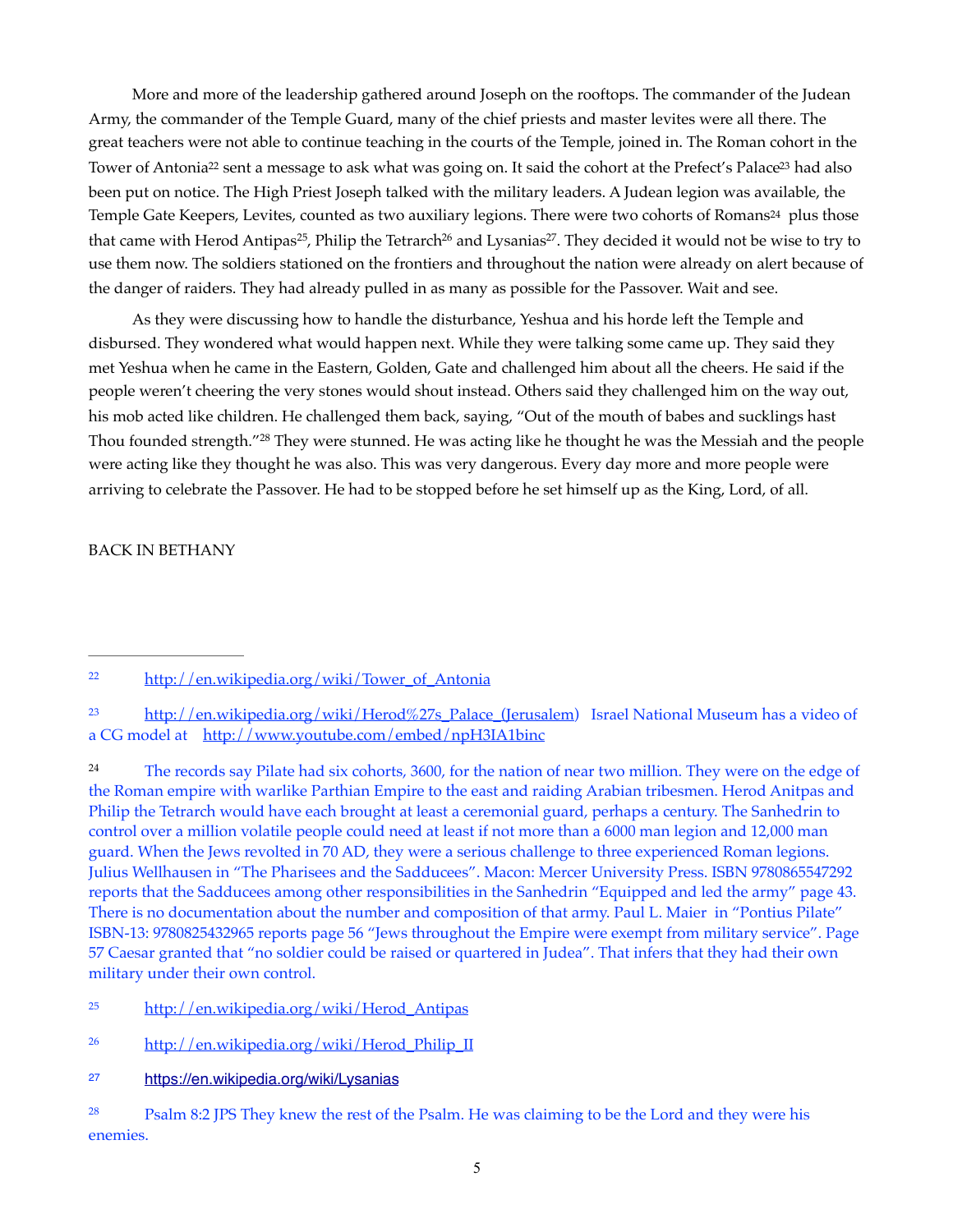<span id="page-4-8"></span><span id="page-4-7"></span>More and more of the leadership gathered around Joseph on the rooftops. The commander of the Judean Army, the commander of the Temple Guard, many of the chief priests and master levites were all there. The great teachers were not able to continue teaching in the courts of the Temple, joined in. The Roman cohort in the Tower of Antonia<sup>22</sup> sent [a](#page-4-0) m[e](#page-4-1)ssage to ask what was going on. It said the cohort at the Prefect's Palace<sup>23</sup> had also been put on notice. The High Priest Joseph talked with the military leaders. A Judean legion was available, the Temple Gate Keepers, Levites, counted a[s](#page-4-2) two auxiliary legions. There were two cohorts of Romans<sup>[24](#page-4-2)</sup> plus those that came with Herod Antipas<sup>25</sup>, Philip the Tetrarch<sup>26</sup> and Lysanias<sup>27</sup>[.](#page-4-5) They decided it would not be wise to try to use them now. The soldiers stationed on the frontiers and throughout the nation were already on alert because of the danger of raiders. They had already pulled in as many as possible for the Passover. Wait and see.

<span id="page-4-12"></span><span id="page-4-11"></span><span id="page-4-10"></span><span id="page-4-9"></span>As they were discussing how to handle the disturbance, Yeshua and his horde left the Temple and disbursed. They wondered what would happen next. While they were talking some came up. They said they met Yeshua when he came in the Eastern, Golden, Gate and challenged him about all the cheers. He said if the people weren't cheering the very stones would shout instead. Others said they challenged him on the way out, his mob acted like children. He challenged them back, saying, "Out of the mouth of babes and sucklings hast Thou founded strength.["](#page-4-6)<sup>[28](#page-4-6)</sup> They were stunned. He was acting like he thought he was the Messiah and the people were acting like they thought he was also. This was very dangerous. Every day more and more people were arriving to celebrate the Passover. He had to be stopped before he set himself up as the King, Lord, of all.

<span id="page-4-13"></span>BACK IN BETHANY

<span id="page-4-2"></span><sup>[24](#page-4-9)</sup> The records say Pilate had six cohorts, 3600, for the nation of near two million. They were on the edge of the Roman empire with warlike Parthian Empire to the east and raiding Arabian tribesmen. Herod Anitpas and Philip the Tetrarch would have each brought at least a ceremonial guard, perhaps a century. The Sanhedrin to control over a million volatile people could need at least if not more than a 6000 man legion and 12,000 man guard. When the Jews revolted in 70 AD, they were a serious challenge to three experienced Roman legions. Julius Wellhausen in "The Pharisees and the Sadducees". Macon: Mercer University Press. ISBN 9780865547292 reports that the Sadducees among other responsibilities in the Sanhedrin "Equipped and led the army" page 43. There is no documentation about the number and composition of that army. Paul L. Maier in "Pontius Pilate" ISBN-13: 9780825432965 reports page 56 "Jews throughout the Empire were exempt from military service". Page 57 Caesar granted that "no soldier could be raised or quartered in Judea". That infers that they had their own military under their own control.

- <span id="page-4-3"></span>[http://en.wikipedia.org/wiki/Herod\\_Antipas](http://en.wikipedia.org/wiki/Herod_Antipas) [25](#page-4-10)
- <span id="page-4-4"></span><sup>26</sup> [http://en.wikipedia.org/wiki/Herod\\_Philip\\_II](http://en.wikipedia.org/wiki/Herod_Philip_II)
- <span id="page-4-5"></span>27 <https://en.wikipedia.org/wiki/Lysanias>

<span id="page-4-0"></span><sup>&</sup>lt;sup>22</sup> [http://en.wikipedia.org/wiki/Tower\\_of\\_Antonia](http://en.wikipedia.org/wiki/Tower_of_Antonia)

<span id="page-4-1"></span> $\frac{23}{2}$  $\frac{23}{2}$  $\frac{23}{2}$  [http://en.wikipedia.org/wiki/Herod%27s\\_Palace\\_\(Jerusalem](http://en.wikipedia.org/wiki/Herod%27s_Palace_(Jerusalem)) Israel National Museum has a video of a CG model at <http://www.youtube.com/embed/npH3IA1binc>

<span id="page-4-6"></span><sup>&</sup>lt;sup>[28](#page-4-13)</sup> Psalm 8:2 JPS They knew the rest of the Psalm. He was claiming to be the Lord and they were his enemies.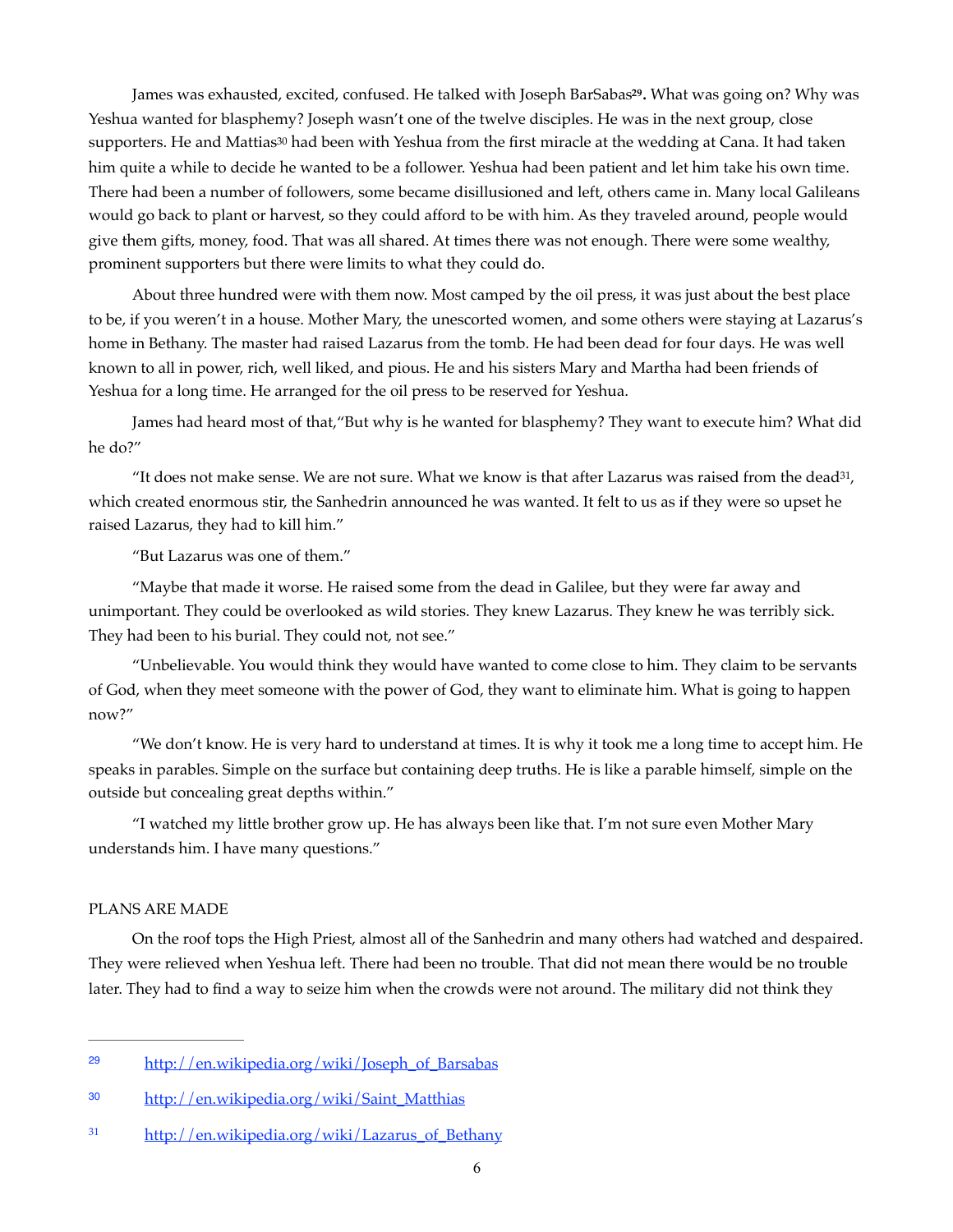<span id="page-5-4"></span><span id="page-5-3"></span>James was exhausted, excited, confused. He talked with Joseph BarSabas<sup>[29](#page-5-0)</sup>. What was going on? Why was Yeshua wanted for blasphemy? Joseph wasn't one of the twelve disciples. He was in the next group, close [s](#page-5-1)upporters. He and Mattias<sup>[30](#page-5-1)</sup> had been with Yeshua from the first miracle at the wedding at Cana. It had taken him quite a while to decide he wanted to be a follower. Yeshua had been patient and let him take his own time. There had been a number of followers, some became disillusioned and left, others came in. Many local Galileans would go back to plant or harvest, so they could afford to be with him. As they traveled around, people would give them gifts, money, food. That was all shared. At times there was not enough. There were some wealthy, prominent supporters but there were limits to what they could do.

About three hundred were with them now. Most camped by the oil press, it was just about the best place to be, if you weren't in a house. Mother Mary, the unescorted women, and some others were staying at Lazarus's home in Bethany. The master had raised Lazarus from the tomb. He had been dead for four days. He was well known to all in power, rich, well liked, and pious. He and his sisters Mary and Martha had been friends of Yeshua for a long time. He arranged for the oil press to be reserved for Yeshua.

James had heard most of that,"But why is he wanted for blasphemy? They want to execute him? What did he do?"

"It does not make sense. We are not sure. What we know is that after Lazarus was raised from the dead<sup>[31](#page-5-2)</sup>, which created enormous stir, the Sanhedrin announced he was wanted. It felt to us as if they were so upset he raised Lazarus, they had to kill him."

<span id="page-5-5"></span>"But Lazarus was one of them."

"Maybe that made it worse. He raised some from the dead in Galilee, but they were far away and unimportant. They could be overlooked as wild stories. They knew Lazarus. They knew he was terribly sick. They had been to his burial. They could not, not see."

"Unbelievable. You would think they would have wanted to come close to him. They claim to be servants of God, when they meet someone with the power of God, they want to eliminate him. What is going to happen now?"

"We don't know. He is very hard to understand at times. It is why it took me a long time to accept him. He speaks in parables. Simple on the surface but containing deep truths. He is like a parable himself, simple on the outside but concealing great depths within."

"I watched my little brother grow up. He has always been like that. I'm not sure even Mother Mary understands him. I have many questions."

## PLANS ARE MADE

On the roof tops the High Priest, almost all of the Sanhedrin and many others had watched and despaired. They were relieved when Yeshua left. There had been no trouble. That did not mean there would be no trouble later. They had to find a way to seize him when the crowds were not around. The military did not think they

<span id="page-5-0"></span><sup>&</sup>lt;sup>[29](#page-5-3)</sup> http://en.wikipedia.org/wiki/Joseph\_of\_Barsabas

<span id="page-5-1"></span><sup>30</sup>http://en.wikipedia.org/wiki/Saint\_Matthias

<span id="page-5-2"></span><sup>&</sup>lt;sup>31</sup> [http://en.wikipedia.org/wiki/Lazarus\\_of\\_Bethany](http://en.wikipedia.org/wiki/Lazarus_of_Bethany)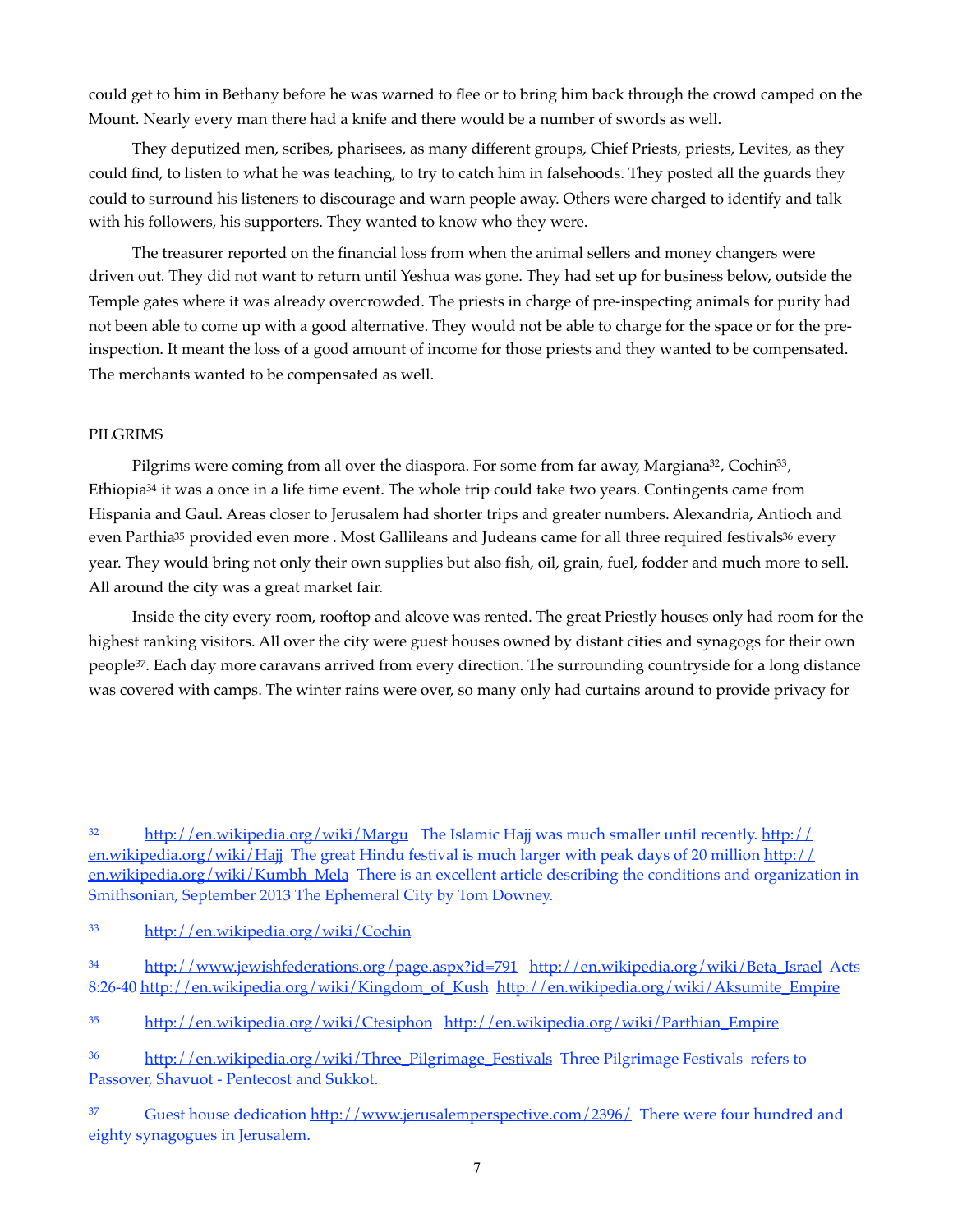could get to him in Bethany before he was warned to flee or to bring him back through the crowd camped on the Mount. Nearly every man there had a knife and there would be a number of swords as well.

They deputized men, scribes, pharisees, as many different groups, Chief Priests, priests, Levites, as they could find, to listen to what he was teaching, to try to catch him in falsehoods. They posted all the guards they could to surround his listeners to discourage and warn people away. Others were charged to identify and talk with his followers, his supporters. They wanted to know who they were.

The treasurer reported on the financial loss from when the animal sellers and money changers were driven out. They did not want to return until Yeshua was gone. They had set up for business below, outside the Temple gates where it was already overcrowded. The priests in charge of pre-inspecting animals for purity had not been able to come up with a good alternative. They would not be able to charge for the space or for the preinspection. It meant the loss of a good amount of income for those priests and they wanted to be compensated. The merchants wanted to be compensated as well.

## PILGRIMS

<span id="page-6-10"></span><span id="page-6-9"></span><span id="page-6-8"></span><span id="page-6-7"></span><span id="page-6-6"></span>Pilgrims were coming from all over the diaspora. For some from far away, Margiana<sup>[32](#page-6-0)</sup>, Cochin<sup>33</sup>, Ethiopi[a](#page-6-2)<sup>[34](#page-6-2)</sup> it was a once in a life time event. The whole trip could take two years. Contingents came from Hispania and Gaul. Areas closer to Jerusalem had shorter trips and greater numbers. Alexandria, Antioch and even P[a](#page-6-3)rthia<[s](#page-6-4)up>[35](#page-6-3)</sup> provided even more . Most Gallileans and Judeans came for all three required festivals<sup>36</sup> every year. They would bring not only their own supplies but also fish, oil, grain, fuel, fodder and much more to sell. All around the city was a great market fair.

<span id="page-6-11"></span>Inside the city every room, rooftop and alcove was rented. The great Priestly houses only had room for the highest ranking visitors. All over the city were guest houses owned by distant cities and synagogs for their own people<sup>[37](#page-6-5)</sup>. Each day more caravans arrived from every direction. The surrounding countryside for a long distance was covered with camps. The winter rains were over, so many only had curtains around to provide privacy for

<span id="page-6-0"></span> $32$  <http://en.wikipedia.org/wiki/Margu> The Islamic Hajj was much smaller until recently. [http://](http://en.wikipedia.org/wiki/Hajj) [en.wikipedia.org/wiki/Hajj](http://en.wikipedia.org/wiki/Hajj) The great Hindu festival is much larger with peak days of 20 million [http://](http://en.wikipedia.org/wiki/Kumbh_Mela) [en.wikipedia.org/wiki/Kumbh\\_Mela](http://en.wikipedia.org/wiki/Kumbh_Mela) There is an excellent article describing the conditions and organization in Smithsonian, September 2013 The Ephemeral City by Tom Downey.

<span id="page-6-1"></span><http://en.wikipedia.org/wiki/Cochin> [33](#page-6-7)

<span id="page-6-2"></span><sup>&</sup>lt;sup>34</sup> <http://www.jewishfederations.org/page.aspx?id=791> [http://en.wikipedia.org/wiki/Beta\\_Israel](http://en.wikipedia.org/wiki/Beta_Israel) Acts 8:26-40 [http://en.wikipedia.org/wiki/Kingdom\\_of\\_Kush](http://en.wikipedia.org/wiki/Kingdom_of_Kush) [http://en.wikipedia.org/wiki/Aksumite\\_Empire](http://en.wikipedia.org/wiki/Aksumite_Empire)

<span id="page-6-3"></span><sup>&</sup>lt;sup>35</sup> <http://en.wikipedia.org/wiki/Ctesiphon> [http://en.wikipedia.org/wiki/Parthian\\_Empire](http://en.wikipedia.org/wiki/Parthian_Empire)

<span id="page-6-4"></span><sup>&</sup>lt;sup>36</sup> [http://en.wikipedia.org/wiki/Three\\_Pilgrimage\\_Festivals](http://en.wikipedia.org/wiki/Three_Pilgrimage_Festivals) [Three Pilgrimage Festivals](http://en.wikipedia.org/wiki/Three_Pilgrimage_Festivals) refers to Passover, Shavuot - Pentecost and Sukkot.

<span id="page-6-5"></span><sup>&</sup>lt;sup>37</sup> Guest house dedication<http://www.jerusalemperspective.com/2396/> There were four hundred and eighty synagogues in Jerusalem.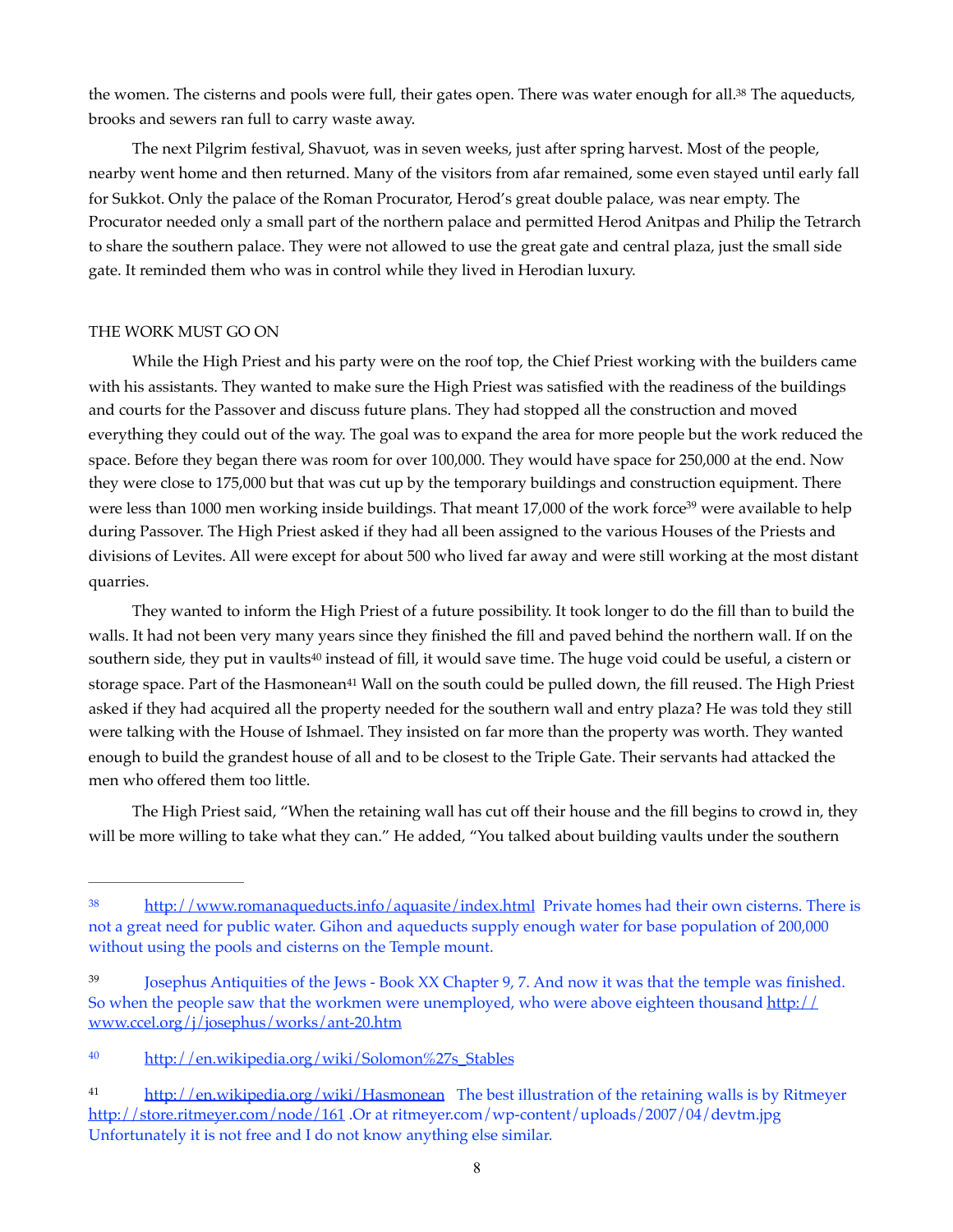<span id="page-7-4"></span>the women[.](#page-7-0) The cisterns and pools were full, their gates open. There was water enough for all.<sup>[38](#page-7-0)</sup> The aqueducts, brooks and sewers ran full to carry waste away.

The next Pilgrim festival, Shavuot, was in seven weeks, just after spring harvest. Most of the people, nearby went home and then returned. Many of the visitors from afar remained, some even stayed until early fall for Sukkot. Only the palace of the Roman Procurator, Herod's great double palace, was near empty. The Procurator needed only a small part of the northern palace and permitted Herod Anitpas and Philip the Tetrarch to share the southern palace. They were not allowed to use the great gate and central plaza, just the small side gate. It reminded them who was in control while they lived in Herodian luxury.

## THE WORK MUST GO ON

While the High Priest and his party were on the roof top, the Chief Priest working with the builders came with his assistants. They wanted to make sure the High Priest was satisfied with the readiness of the buildings and courts for the Passover and discuss future plans. They had stopped all the construction and moved everything they could out of the way. The goal was to expand the area for more people but the work reduced the space. Before they began there was room for over 100,000. They would have space for 250,000 at the end. Now they were close to 175,000 but that was cut up by the temporary buildings and construction equipment. There wer[e](#page-7-1) less than 1000 men working inside buildings. That meant 17,000 of the work force<sup>[39](#page-7-1)</sup> were available to help during Passover. The High Priest asked if they had all been assigned to the various Houses of the Priests and divisions of Levites. All were except for about 500 who lived far away and were still working at the most distant quarries.

<span id="page-7-7"></span><span id="page-7-6"></span><span id="page-7-5"></span>They wanted to inform the High Priest of a future possibility. It took longer to do the fill than to build the walls. It had not been very many years since they finished the fill and paved behind the northern wall. If on the southern side, they put in vaults<sup>[40](#page-7-2)</sup> instead of fill, it would save time. The huge void could be useful, a cistern or storage space. Part of the Hasmonean<sup>[41](#page-7-3)</sup> Wall on the south could be pulled down, the fill reused. The High Priest asked if they had acquired all the property needed for the southern wall and entry plaza? He was told they still were talking with the House of Ishmael. They insisted on far more than the property was worth. They wanted enough to build the grandest house of all and to be closest to the Triple Gate. Their servants had attacked the men who offered them too little.

The High Priest said, "When the retaining wall has cut off their house and the fill begins to crowd in, they will be more willing to take what they can." He added, "You talked about building vaults under the southern

<span id="page-7-0"></span><sup>&</sup>lt;sup>38</sup> <http://www.romanaqueducts.info/aquasite/index.html> Private homes had their own cisterns. There is not a great need for public water. Gihon and aqueducts supply enough water for base population of 200,000 without using the pools and cisterns on the Temple mount.

<span id="page-7-1"></span><sup>&</sup>lt;sup>[39](#page-7-5)</sup> Josephus Antiquities of the Jews - Book XX Chapter 9, 7. And now it was that the temple was finished. So when the people saw that the workmen were unemployed, who were above eighteen thousand [http://](http://www.ccel.org/j/josephus/works/ant-20.htm) [www.ccel.org/j/josephus/works/ant-20.htm](http://www.ccel.org/j/josephus/works/ant-20.htm)

<span id="page-7-2"></span><sup>40</sup> [http://en.wikipedia.org/wiki/Solomon%27s\\_Stables](http://en.wikipedia.org/wiki/Solomon%27s_Stables)

<span id="page-7-3"></span><sup>&</sup>lt;sup>41</sup> <http://en.wikipedia.org/wiki/Hasmonean> The best illustration of the retaining walls is by Ritmeyer <http://store.ritmeyer.com/node/161>.Or at ritmeyer.com/wp-content/uploads/2007/04/devtm.jpg Unfortunately it is not free and I do not know anything else similar.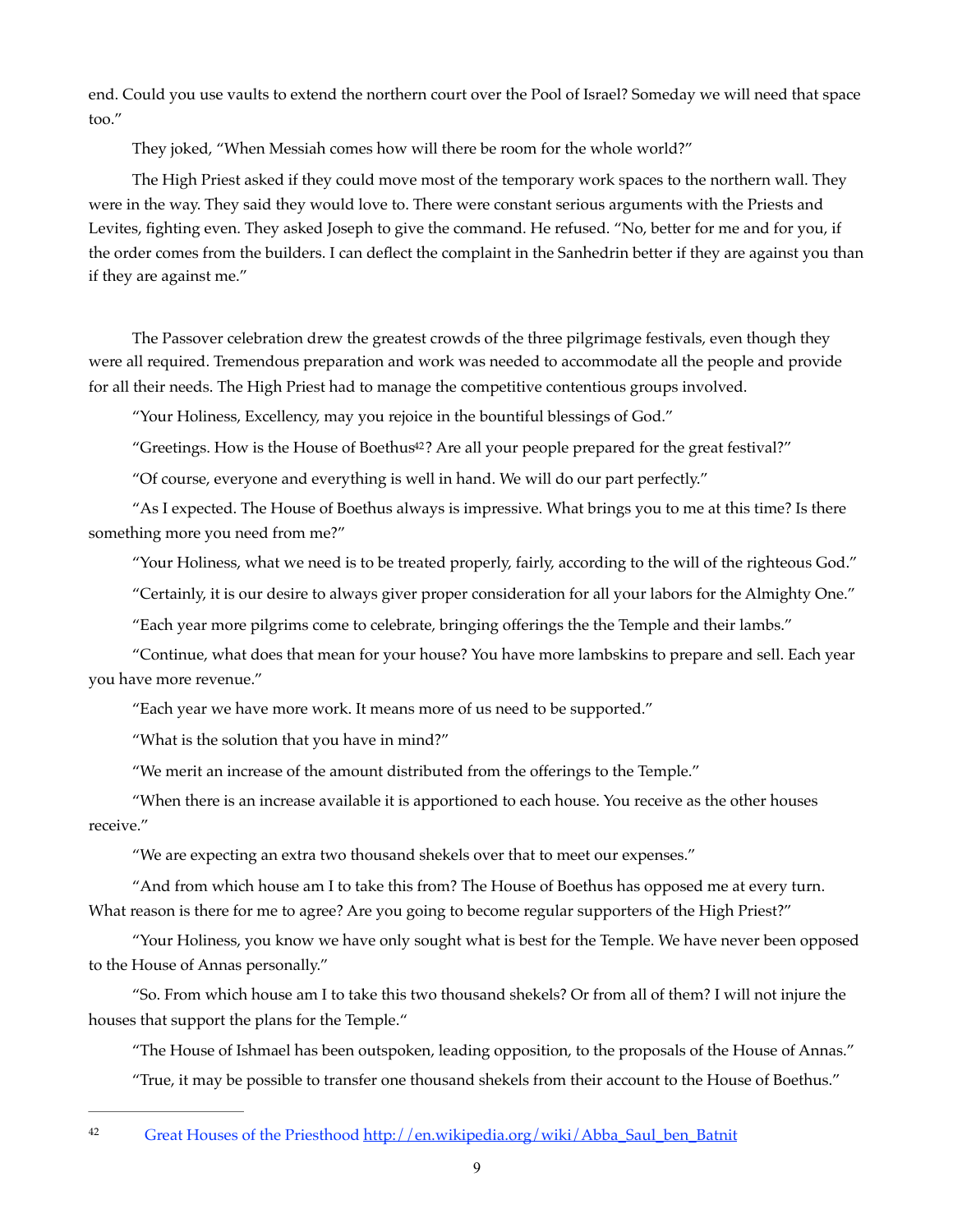end. Could you use vaults to extend the northern court over the Pool of Israel? Someday we will need that space too."

They joked, "When Messiah comes how will there be room for the whole world?"

The High Priest asked if they could move most of the temporary work spaces to the northern wall. They were in the way. They said they would love to. There were constant serious arguments with the Priests and Levites, fighting even. They asked Joseph to give the command. He refused. "No, better for me and for you, if the order comes from the builders. I can deflect the complaint in the Sanhedrin better if they are against you than if they are against me."

The Passover celebration drew the greatest crowds of the three pilgrimage festivals, even though they were all required. Tremendous preparation and work was needed to accommodate all the people and provide for all their needs. The High Priest had to manage the competitive contentious groups involved.

"Your Holiness, Excellency, may you rejoice in the bountiful blessings of God."

<span id="page-8-1"></span>"Greetings. How is the House of Boethu[s42](#page-8-0)? Are all your people prepared for the great festival?"

"Of course, everyone and everything is well in hand. We will do our part perfectly."

"As I expected. The House of Boethus always is impressive. What brings you to me at this time? Is there something more you need from me?"

"Your Holiness, what we need is to be treated properly, fairly, according to the will of the righteous God."

"Certainly, it is our desire to always giver proper consideration for all your labors for the Almighty One."

"Each year more pilgrims come to celebrate, bringing offerings the the Temple and their lambs."

"Continue, what does that mean for your house? You have more lambskins to prepare and sell. Each year you have more revenue."

"Each year we have more work. It means more of us need to be supported."

"What is the solution that you have in mind?"

"We merit an increase of the amount distributed from the offerings to the Temple."

"When there is an increase available it is apportioned to each house. You receive as the other houses receive."

"We are expecting an extra two thousand shekels over that to meet our expenses."

"And from which house am I to take this from? The House of Boethus has opposed me at every turn. What reason is there for me to agree? Are you going to become regular supporters of the High Priest?"

"Your Holiness, you know we have only sought what is best for the Temple. We have never been opposed to the House of Annas personally."

"So. From which house am I to take this two thousand shekels? Or from all of them? I will not injure the houses that support the plans for the Temple."

"The House of Ishmael has been outspoken, leading opposition, to the proposals of the House of Annas."

"True, it may be possible to transfer one thousand shekels from their account to the House of Boethus."

<span id="page-8-0"></span><sup>&</sup>lt;sup>42</sup> Great Houses of the Priesthood [http://en.wikipedia.org/wiki/Abba\\_Saul\\_ben\\_Batnit](http://en.wikipedia.org/wiki/Abba_Saul_ben_Batnit)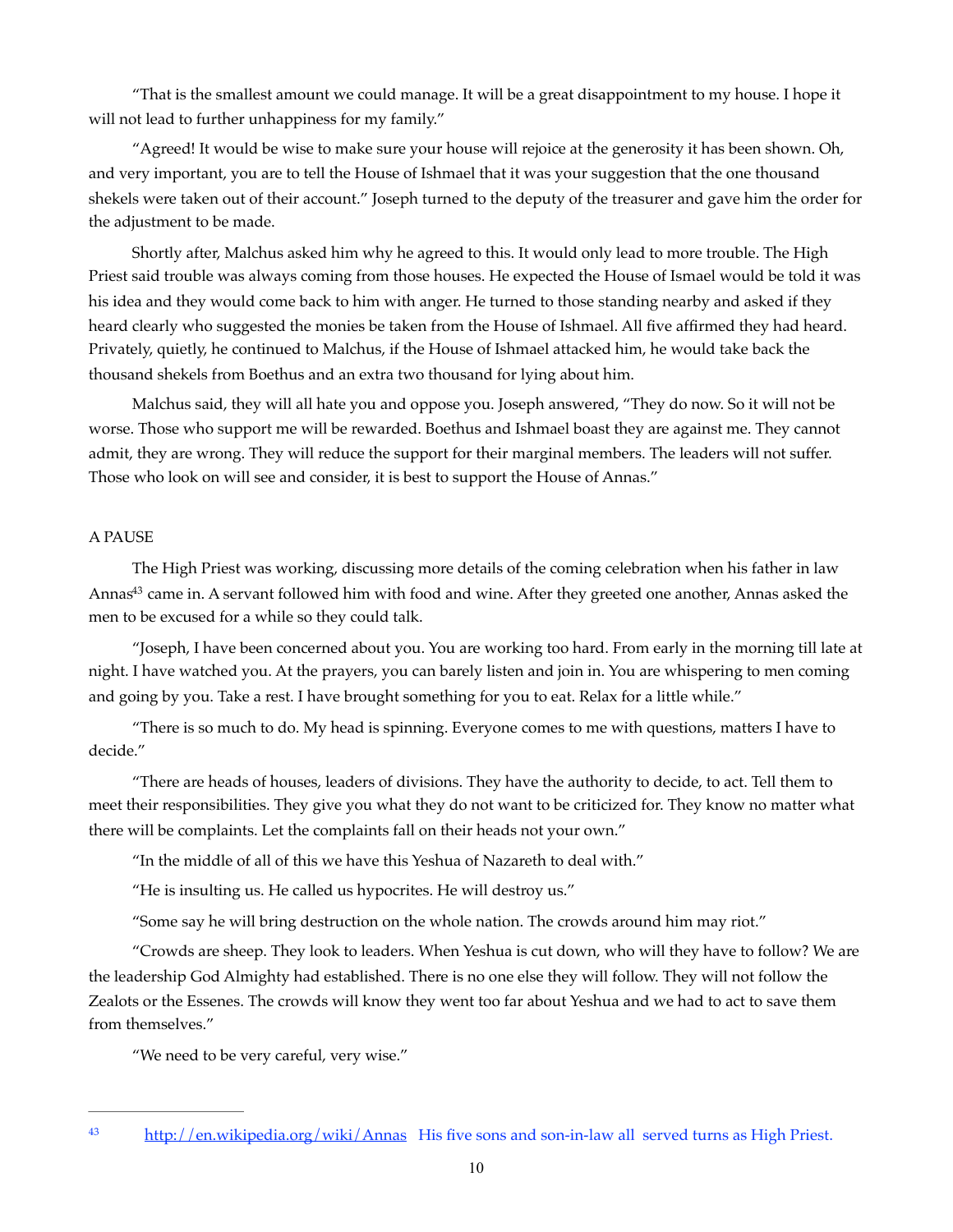"That is the smallest amount we could manage. It will be a great disappointment to my house. I hope it will not lead to further unhappiness for my family."

"Agreed! It would be wise to make sure your house will rejoice at the generosity it has been shown. Oh, and very important, you are to tell the House of Ishmael that it was your suggestion that the one thousand shekels were taken out of their account." Joseph turned to the deputy of the treasurer and gave him the order for the adjustment to be made.

Shortly after, Malchus asked him why he agreed to this. It would only lead to more trouble. The High Priest said trouble was always coming from those houses. He expected the House of Ismael would be told it was his idea and they would come back to him with anger. He turned to those standing nearby and asked if they heard clearly who suggested the monies be taken from the House of Ishmael. All five affirmed they had heard. Privately, quietly, he continued to Malchus, if the House of Ishmael attacked him, he would take back the thousand shekels from Boethus and an extra two thousand for lying about him.

Malchus said, they will all hate you and oppose you. Joseph answered, "They do now. So it will not be worse. Those who support me will be rewarded. Boethus and Ishmael boast they are against me. They cannot admit, they are wrong. They will reduce the support for their marginal members. The leaders will not suffer. Those who look on will see and consider, it is best to support the House of Annas."

## A PAUSE

<span id="page-9-1"></span>The High Priest was working, discussing more details of the coming celebration when his father in law Anna[s](#page-9-0)<sup>[43](#page-9-0)</sup> came in. A servant followed him with food and wine. After they greeted one another, Annas asked the men to be excused for a while so they could talk.

"Joseph, I have been concerned about you. You are working too hard. From early in the morning till late at night. I have watched you. At the prayers, you can barely listen and join in. You are whispering to men coming and going by you. Take a rest. I have brought something for you to eat. Relax for a little while."

"There is so much to do. My head is spinning. Everyone comes to me with questions, matters I have to decide."

"There are heads of houses, leaders of divisions. They have the authority to decide, to act. Tell them to meet their responsibilities. They give you what they do not want to be criticized for. They know no matter what there will be complaints. Let the complaints fall on their heads not your own."

"In the middle of all of this we have this Yeshua of Nazareth to deal with."

"He is insulting us. He called us hypocrites. He will destroy us."

"Some say he will bring destruction on the whole nation. The crowds around him may riot."

"Crowds are sheep. They look to leaders. When Yeshua is cut down, who will they have to follow? We are the leadership God Almighty had established. There is no one else they will follow. They will not follow the Zealots or the Essenes. The crowds will know they went too far about Yeshua and we had to act to save them from themselves."

"We need to be very careful, very wise."

<span id="page-9-0"></span><sup>&</sup>lt;sup>43</sup> <http://en.wikipedia.org/wiki/Annas> His five sons and son-in-law all served turns as High Priest.